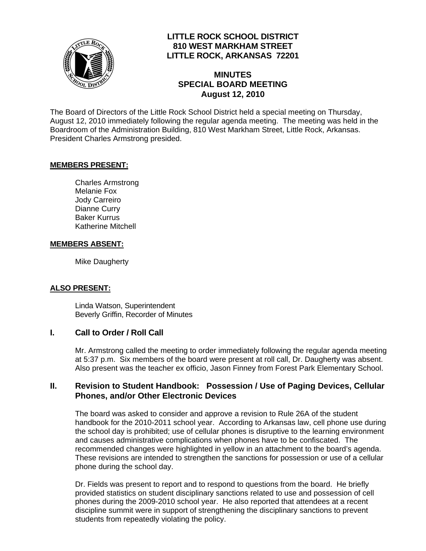

## **LITTLE ROCK SCHOOL DISTRICT 810 WEST MARKHAM STREET LITTLE ROCK, ARKANSAS 72201**

# **MINUTES SPECIAL BOARD MEETING August 12, 2010**

The Board of Directors of the Little Rock School District held a special meeting on Thursday, August 12, 2010 immediately following the regular agenda meeting. The meeting was held in the Boardroom of the Administration Building, 810 West Markham Street, Little Rock, Arkansas. President Charles Armstrong presided.

### **MEMBERS PRESENT:**

Charles Armstrong Melanie Fox Jody Carreiro Dianne Curry Baker Kurrus Katherine Mitchell

#### **MEMBERS ABSENT:**

Mike Daugherty

### **ALSO PRESENT:**

 Linda Watson, Superintendent Beverly Griffin, Recorder of Minutes

### **I. Call to Order / Roll Call**

Mr. Armstrong called the meeting to order immediately following the regular agenda meeting at 5:37 p.m. Six members of the board were present at roll call, Dr. Daugherty was absent. Also present was the teacher ex officio, Jason Finney from Forest Park Elementary School.

### **II. Revision to Student Handbook: Possession / Use of Paging Devices, Cellular Phones, and/or Other Electronic Devices**

The board was asked to consider and approve a revision to Rule 26A of the student handbook for the 2010-2011 school year. According to Arkansas law, cell phone use during the school day is prohibited; use of cellular phones is disruptive to the learning environment and causes administrative complications when phones have to be confiscated. The recommended changes were highlighted in yellow in an attachment to the board's agenda. These revisions are intended to strengthen the sanctions for possession or use of a cellular phone during the school day.

Dr. Fields was present to report and to respond to questions from the board. He briefly provided statistics on student disciplinary sanctions related to use and possession of cell phones during the 2009-2010 school year. He also reported that attendees at a recent discipline summit were in support of strengthening the disciplinary sanctions to prevent students from repeatedly violating the policy.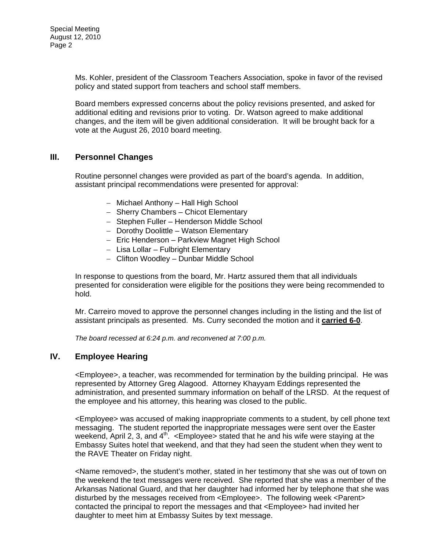Ms. Kohler, president of the Classroom Teachers Association, spoke in favor of the revised policy and stated support from teachers and school staff members.

Board members expressed concerns about the policy revisions presented, and asked for additional editing and revisions prior to voting. Dr. Watson agreed to make additional changes, and the item will be given additional consideration. It will be brought back for a vote at the August 26, 2010 board meeting.

### **III. Personnel Changes**

Routine personnel changes were provided as part of the board's agenda. In addition, assistant principal recommendations were presented for approval:

- − Michael Anthony Hall High School
- − Sherry Chambers Chicot Elementary
- − Stephen Fuller Henderson Middle School
- − Dorothy Doolittle Watson Elementary
- − Eric Henderson Parkview Magnet High School
- − Lisa Lollar Fulbright Elementary
- − Clifton Woodley Dunbar Middle School

In response to questions from the board, Mr. Hartz assured them that all individuals presented for consideration were eligible for the positions they were being recommended to hold.

Mr. Carreiro moved to approve the personnel changes including in the listing and the list of assistant principals as presented. Ms. Curry seconded the motion and it **carried 6-0**.

*The board recessed at 6:24 p.m. and reconvened at 7:00 p.m.* 

### **IV. Employee Hearing**

<Employee>, a teacher, was recommended for termination by the building principal. He was represented by Attorney Greg Alagood. Attorney Khayyam Eddings represented the administration, and presented summary information on behalf of the LRSD. At the request of the employee and his attorney, this hearing was closed to the public.

<Employee> was accused of making inappropriate comments to a student, by cell phone text messaging. The student reported the inappropriate messages were sent over the Easter weekend, April 2, 3, and  $4<sup>th</sup>$ . <Employee> stated that he and his wife were staying at the Embassy Suites hotel that weekend, and that they had seen the student when they went to the RAVE Theater on Friday night.

<Name removed>, the student's mother, stated in her testimony that she was out of town on the weekend the text messages were received. She reported that she was a member of the Arkansas National Guard, and that her daughter had informed her by telephone that she was disturbed by the messages received from <Employee>. The following week <Parent> contacted the principal to report the messages and that <Employee> had invited her daughter to meet him at Embassy Suites by text message.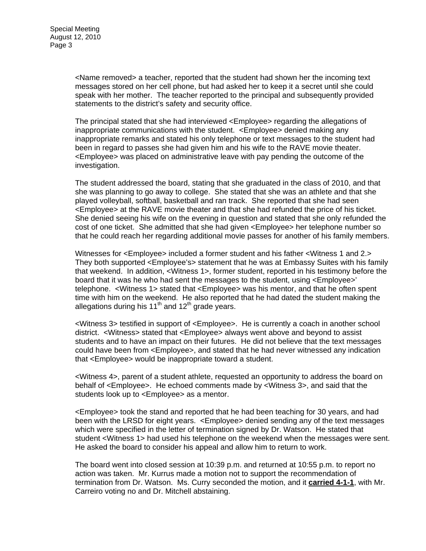<Name removed> a teacher, reported that the student had shown her the incoming text messages stored on her cell phone, but had asked her to keep it a secret until she could speak with her mother. The teacher reported to the principal and subsequently provided statements to the district's safety and security office.

The principal stated that she had interviewed <Employee> regarding the allegations of inappropriate communications with the student. <Employee> denied making any inappropriate remarks and stated his only telephone or text messages to the student had been in regard to passes she had given him and his wife to the RAVE movie theater. <Employee> was placed on administrative leave with pay pending the outcome of the investigation.

The student addressed the board, stating that she graduated in the class of 2010, and that she was planning to go away to college. She stated that she was an athlete and that she played volleyball, softball, basketball and ran track. She reported that she had seen <Employee> at the RAVE movie theater and that she had refunded the price of his ticket. She denied seeing his wife on the evening in question and stated that she only refunded the cost of one ticket. She admitted that she had given <Employee> her telephone number so that he could reach her regarding additional movie passes for another of his family members.

Witnesses for <Employee> included a former student and his father <Witness 1 and 2.> They both supported <Employee's> statement that he was at Embassy Suites with his family that weekend. In addition, <Witness 1>, former student, reported in his testimony before the board that it was he who had sent the messages to the student, using <Employee>' telephone. <Witness 1> stated that <Employee> was his mentor, and that he often spent time with him on the weekend. He also reported that he had dated the student making the allegations during his 11<sup>th</sup> and 12<sup>th</sup> grade years.

<Witness 3> testified in support of <Employee>. He is currently a coach in another school district. <Witness> stated that <Employee> always went above and beyond to assist students and to have an impact on their futures. He did not believe that the text messages could have been from <Employee>, and stated that he had never witnessed any indication that <Employee> would be inappropriate toward a student.

<Witness 4>, parent of a student athlete, requested an opportunity to address the board on behalf of <Employee>. He echoed comments made by <Witness 3>, and said that the students look up to <Employee> as a mentor.

<Employee> took the stand and reported that he had been teaching for 30 years, and had been with the LRSD for eight years. <Employee> denied sending any of the text messages which were specified in the letter of termination signed by Dr. Watson. He stated that student <Witness 1> had used his telephone on the weekend when the messages were sent. He asked the board to consider his appeal and allow him to return to work.

The board went into closed session at 10:39 p.m. and returned at 10:55 p.m. to report no action was taken. Mr. Kurrus made a motion not to support the recommendation of termination from Dr. Watson. Ms. Curry seconded the motion, and it **carried 4-1-1**, with Mr. Carreiro voting no and Dr. Mitchell abstaining.